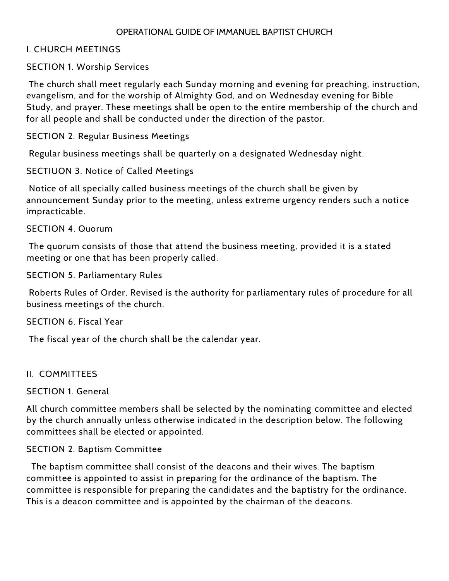#### OPERATIONAL GUIDE OF IMMANUEL BAPTIST CHURCH

### I. CHURCH MEETINGS

### SECTION 1. Worship Services

The church shall meet regularly each Sunday morning and evening for preaching, instruction, evangelism, and for the worship of Almighty God, and on Wednesday evening for Bible Study, and prayer. These meetings shall be open to the entire membership of the church and for all people and shall be conducted under the direction of the pastor.

SECTION 2. Regular Business Meetings

Regular business meetings shall be quarterly on a designated Wednesday night.

SECTIUON 3. Notice of Called Meetings

Notice of all specially called business meetings of the church shall be given by announcement Sunday prior to the meeting, unless extreme urgency renders such a noti ce impracticable.

#### SECTION 4. Quorum

The quorum consists of those that attend the business meeting, provided it is a stated meeting or one that has been properly called.

SECTION 5. Parliamentary Rules

Roberts Rules of Order, Revised is the authority for parliamentary rules of procedure for all business meetings of the church.

#### SECTION 6. Fiscal Year

The fiscal year of the church shall be the calendar year.

#### II. COMMITTEES

#### SECTION 1. General

All church committee members shall be selected by the nominating committee and elected by the church annually unless otherwise indicated in the description below. The following committees shall be elected or appointed.

### SECTION 2. Baptism Committee

 The baptism committee shall consist of the deacons and their wives. The baptism committee is appointed to assist in preparing for the ordinance of the baptism. The committee is responsible for preparing the candidates and the baptistry for the ordinance. This is a deacon committee and is appointed by the chairman of the deacons.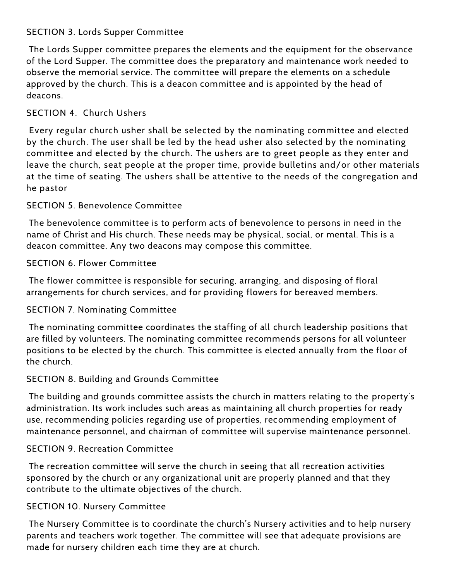# SECTION 3. Lords Supper Committee

The Lords Supper committee prepares the elements and the equipment for the observance of the Lord Supper. The committee does the preparatory and maintenance work needed to observe the memorial service. The committee will prepare the elements on a schedule approved by the church. This is a deacon committee and is appointed by the head of deacons.

# SECTION 4. Church Ushers

Every regular church usher shall be selected by the nominating committee and elected by the church. The user shall be led by the head usher also selected by the nominating committee and elected by the church. The ushers are to greet people as they enter and leave the church, seat people at the proper time, provide bulletins and/or other materials at the time of seating. The ushers shall be attentive to the needs of the congregation and he pastor

# SECTION 5. Benevolence Committee

The benevolence committee is to perform acts of benevolence to persons in need in the name of Christ and His church. These needs may be physical, social, or mental. This is a deacon committee. Any two deacons may compose this committee.

# SECTION 6. Flower Committee

The flower committee is responsible for securing, arranging, and disposing of floral arrangements for church services, and for providing flowers for bereaved members.

# SECTION 7. Nominating Committee

The nominating committee coordinates the staffing of all church leadership positions that are filled by volunteers. The nominating committee recommends persons for all volunteer positions to be elected by the church. This committee is elected annually from the floor of the church.

# SECTION 8. Building and Grounds Committee

The building and grounds committee assists the church in matters relating to the property's administration. Its work includes such areas as maintaining all church properties for ready use, recommending policies regarding use of properties, recommending employment of maintenance personnel, and chairman of committee will supervise maintenance personnel.

# SECTION 9. Recreation Committee

The recreation committee will serve the church in seeing that all recreation activities sponsored by the church or any organizational unit are properly planned and that they contribute to the ultimate objectives of the church.

# SECTION 10. Nursery Committee

The Nursery Committee is to coordinate the church's Nursery activities and to help nursery parents and teachers work together. The committee will see that adequate provisions are made for nursery children each time they are at church.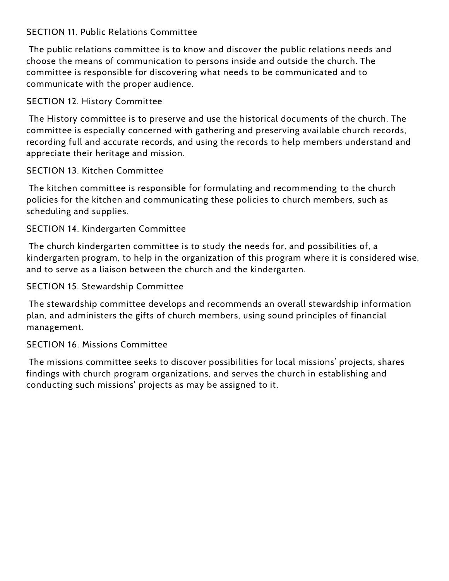# SECTION 11. Public Relations Committee

The public relations committee is to know and discover the public relations needs and choose the means of communication to persons inside and outside the church. The committee is responsible for discovering what needs to be communicated and to communicate with the proper audience.

### SECTION 12. History Committee

The History committee is to preserve and use the historical documents of the church. The committee is especially concerned with gathering and preserving available church records, recording full and accurate records, and using the records to help members understand and appreciate their heritage and mission.

### SECTION 13. Kitchen Committee

The kitchen committee is responsible for formulating and recommending to the church policies for the kitchen and communicating these policies to church members, such as scheduling and supplies.

### SECTION 14. Kindergarten Committee

The church kindergarten committee is to study the needs for, and possibilities of, a kindergarten program, to help in the organization of this program where it is considered wise, and to serve as a liaison between the church and the kindergarten.

### SECTION 15. Stewardship Committee

The stewardship committee develops and recommends an overall stewardship information plan, and administers the gifts of church members, using sound principles of financial management.

### SECTION 16. Missions Committee

The missions committee seeks to discover possibilities for local missions' projects, shares findings with church program organizations, and serves the church in establishing and conducting such missions' projects as may be assigned to it.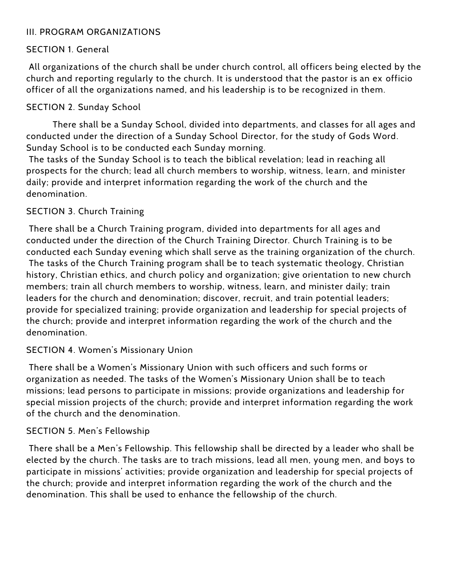### III. PROGRAM ORGANIZATIONS

### SECTION 1. General

All organizations of the church shall be under church control, all officers being elected by the church and reporting regularly to the church. It is understood that the pastor is an ex officio officer of all the organizations named, and his leadership is to be recognized in them.

### SECTION 2. Sunday School

There shall be a Sunday School, divided into departments, and classes for all ages and conducted under the direction of a Sunday School Director, for the study of Gods Word. Sunday School is to be conducted each Sunday morning.

The tasks of the Sunday School is to teach the biblical revelation; lead in reaching all prospects for the church; lead all church members to worship, witness, le arn, and minister daily; provide and interpret information regarding the work of the church and the denomination.

### SECTION 3. Church Training

There shall be a Church Training program, divided into departments for all ages and conducted under the direction of the Church Training Director. Church Training is to be conducted each Sunday evening which shall serve as the training organization of the church. The tasks of the Church Training program shall be to teach systematic theology, Christian history, Christian ethics, and church policy and organization; give orientation to new church members; train all church members to worship, witness, learn, and minister daily; train leaders for the church and denomination; discover, recruit, and train potential leaders; provide for specialized training; provide organization and leadership for special projects of the church; provide and interpret information regarding the work of the church and the denomination.

### SECTION 4. Women's Missionary Union

There shall be a Women's Missionary Union with such officers and such forms or organization as needed. The tasks of the Women's Missionary Union shall be to teach missions; lead persons to participate in missions; provide organizations and leadership for special mission projects of the church; provide and interpret information regarding the work of the church and the denomination.

### SECTION 5. Men's Fellowship

There shall be a Men's Fellowship. This fellowship shall be directed by a leader who shall be elected by the church. The tasks are to trach missions, lead all men, young men, and boys to participate in missions' activities; provide organization and leadership for special projects of the church; provide and interpret information regarding the work of the church and the denomination. This shall be used to enhance the fellowship of the church.